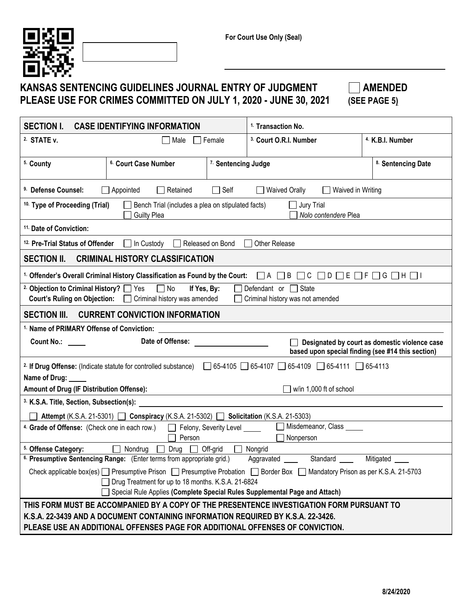

## KANSAS SENTENCING GUIDELINES JOURNAL ENTRY OF JUDGMENT  $\Box$  AMENDED **PLEASE USE FOR CRIMES COMMITTED ON JULY 1, 2020 - JUNE 30, 2021 (SEE PAGE 5)**

| <b>SECTION I.</b><br><b>CASE IDENTIFYING INFORMATION</b><br><sup>1.</sup> Transaction No.                                                                                                                          |                                |                                   |                             |  |  |  |  |  |  |
|--------------------------------------------------------------------------------------------------------------------------------------------------------------------------------------------------------------------|--------------------------------|-----------------------------------|-----------------------------|--|--|--|--|--|--|
| <sup>2.</sup> STATE v.<br>  Male                                                                                                                                                                                   | $\sqsupset$ Female             | <sup>3.</sup> Court O.R.I. Number | <sup>4.</sup> K.B.I. Number |  |  |  |  |  |  |
| <sup>5.</sup> County<br><sup>6.</sup> Court Case Number                                                                                                                                                            | <sup>7.</sup> Sentencing Judge |                                   | 8. Sentencing Date          |  |  |  |  |  |  |
| $\Box$ Self<br><sup>9.</sup> Defense Counsel:<br>$\Box$ Appointed<br>Retained<br><b>Waived Orally</b><br>Waived in Writing                                                                                         |                                |                                   |                             |  |  |  |  |  |  |
| <sup>10.</sup> Type of Proceeding (Trial)<br>Bench Trial (includes a plea on stipulated facts)<br>$\Box$ Jury Trial<br>Nolo contendere Plea<br><b>Guilty Plea</b>                                                  |                                |                                   |                             |  |  |  |  |  |  |
| <sup>11.</sup> Date of Conviction:                                                                                                                                                                                 |                                |                                   |                             |  |  |  |  |  |  |
| $\Box$ In Custody<br><sup>12.</sup> Pre-Trial Status of Offender                                                                                                                                                   | Released on Bond               | Other Release<br>$\mathbf{I}$     |                             |  |  |  |  |  |  |
| <b>CRIMINAL HISTORY CLASSIFICATION</b><br><b>SECTION II.</b>                                                                                                                                                       |                                |                                   |                             |  |  |  |  |  |  |
| <sup>1.</sup> Offender's Overall Criminal History Classification as Found by the Court: $\Box A \Box B$                                                                                                            |                                |                                   |                             |  |  |  |  |  |  |
| 2. Objection to Criminal History? [C] Yes<br>$\Box$ No<br>Defendant or $\Box$ State<br>If Yes, By:<br><b>Court's Ruling on Objection:</b> <u>Coriminal history</u> was amended<br>Criminal history was not amended |                                |                                   |                             |  |  |  |  |  |  |
| <b>SECTION III.</b><br><b>CURRENT CONVICTION INFORMATION</b>                                                                                                                                                       |                                |                                   |                             |  |  |  |  |  |  |
|                                                                                                                                                                                                                    |                                |                                   |                             |  |  |  |  |  |  |
| <b>Count No.:</b><br>Date of Offense:<br>Designated by court as domestic violence case<br>based upon special finding (see #14 this section)                                                                        |                                |                                   |                             |  |  |  |  |  |  |
| 2. If Drug Offense: (Indicate statute for controlled substance) 05-4105 65-4107 65-4109 65-4111 65-4113                                                                                                            |                                |                                   |                             |  |  |  |  |  |  |
| Name of Drug: _____                                                                                                                                                                                                |                                |                                   |                             |  |  |  |  |  |  |
| Amount of Drug (IF Distribution Offense):<br>$\Box$ w/in 1,000 ft of school                                                                                                                                        |                                |                                   |                             |  |  |  |  |  |  |
| <sup>3.</sup> K.S.A. Title, Section, Subsection(s):                                                                                                                                                                |                                |                                   |                             |  |  |  |  |  |  |
| Attempt (K.S.A. 21-5301) □ Conspiracy (K.S.A. 21-5302) □ Solicitation (K.S.A. 21-5303)                                                                                                                             |                                |                                   |                             |  |  |  |  |  |  |
| Misdemeanor, Class _____<br>4. Grade of Offense: (Check one in each row.)<br>Felony, Severity Level _____<br>$\perp$<br>Person<br>Nonperson                                                                        |                                |                                   |                             |  |  |  |  |  |  |
| $\Box$ Nondrug<br>$\Box$ Off-grid<br>5. Offense Category:<br>Drug  <br>Nongrid                                                                                                                                     |                                |                                   |                             |  |  |  |  |  |  |
| <sup>6.</sup> Presumptive Sentencing Range: (Enter terms from appropriate grid.)<br>Aggravated<br>Standard<br>Mitigated                                                                                            |                                |                                   |                             |  |  |  |  |  |  |
| Check applicable box(es) D Presumptive Prison D Presumptive Probation D Border Box D Mandatory Prison as per K.S.A. 21-5703<br>□ Drug Treatment for up to 18 months. K.S.A. 21-6824                                |                                |                                   |                             |  |  |  |  |  |  |
| Special Rule Applies (Complete Special Rules Supplemental Page and Attach)                                                                                                                                         |                                |                                   |                             |  |  |  |  |  |  |
| THIS FORM MUST BE ACCOMPANIED BY A COPY OF THE PRESENTENCE INVESTIGATION FORM PURSUANT TO<br>K.S.A. 22-3439 AND A DOCUMENT CONTAINING INFORMATION REQUIRED BY K.S.A. 22-3426.                                      |                                |                                   |                             |  |  |  |  |  |  |
| PLEASE USE AN ADDITIONAL OFFENSES PAGE FOR ADDITIONAL OFFENSES OF CONVICTION.                                                                                                                                      |                                |                                   |                             |  |  |  |  |  |  |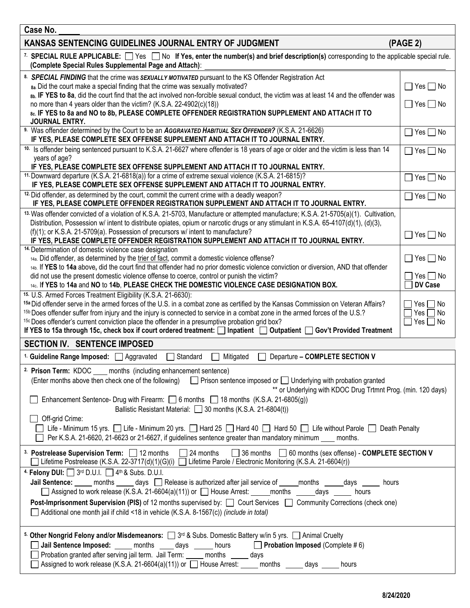| Case No.                                                                                                                                                                                                                                                                                                                                                                                                                                                                                                                                                                                                                                                                               |                                                  |  |  |  |  |  |
|----------------------------------------------------------------------------------------------------------------------------------------------------------------------------------------------------------------------------------------------------------------------------------------------------------------------------------------------------------------------------------------------------------------------------------------------------------------------------------------------------------------------------------------------------------------------------------------------------------------------------------------------------------------------------------------|--------------------------------------------------|--|--|--|--|--|
| KANSAS SENTENCING GUIDELINES JOURNAL ENTRY OF JUDGMENT<br>(PAGE 2)                                                                                                                                                                                                                                                                                                                                                                                                                                                                                                                                                                                                                     |                                                  |  |  |  |  |  |
| 7. SPECIAL RULE APPLICABLE: $\Box$ Yes $\Box$ No If Yes, enter the number(s) and brief description(s) corresponding to the applicable special rule.<br>(Complete Special Rules Supplemental Page and Attach):                                                                                                                                                                                                                                                                                                                                                                                                                                                                          |                                                  |  |  |  |  |  |
| 8. SPECIAL FINDING that the crime was SEXUALLY MOTIVATED pursuant to the KS Offender Registration Act<br>8a. Did the court make a special finding that the crime was sexually motivated?<br>8b. IF YES to 8a, did the court find that the act involved non-forcible sexual conduct, the victim was at least 14 and the offender was<br>no more than 4 years older than the victim? (K.S.A. 22-4902(c)(18))<br>8c. IF YES to 8a and NO to 8b, PLEASE COMPLETE OFFENDER REGISTRATION SUPPLEMENT AND ATTACH IT TO<br><b>JOURNAL ENTRY.</b>                                                                                                                                                |                                                  |  |  |  |  |  |
| 9. Was offender determined by the Court to be an AGGRAVATED HABITUAL SEX OFFENDER? (K.S.A. 21-6626)<br>IF YES, PLEASE COMPLETE SEX OFFENSE SUPPLEMENT AND ATTACH IT TO JOURNAL ENTRY.                                                                                                                                                                                                                                                                                                                                                                                                                                                                                                  | $\Box$ Yes $\Box$ No                             |  |  |  |  |  |
| 10. Is offender being sentenced pursuant to K.S.A. 21-6627 where offender is 18 years of age or older and the victim is less than 14<br>years of age?<br>IF YES, PLEASE COMPLETE SEX OFFENSE SUPPLEMENT AND ATTACH IT TO JOURNAL ENTRY.<br><sup>11.</sup> Downward departure (K.S.A. 21-6818(a)) for a crime of extreme sexual violence (K.S.A. 21-6815)?<br>IF YES, PLEASE COMPLETE SEX OFFENSE SUPPLEMENT AND ATTACH IT TO JOURNAL ENTRY.                                                                                                                                                                                                                                            | $\Box$ Yes $\Box$ No<br>$Yes \nightharpoonup No$ |  |  |  |  |  |
| <sup>12.</sup> Did offender, as determined by the court, commit the current crime with a deadly weapon?<br>IF YES, PLEASE COMPLETE OFFENDER REGISTRATION SUPPLEMENT AND ATTACH IT TO JOURNAL ENTRY.                                                                                                                                                                                                                                                                                                                                                                                                                                                                                    | $\Box$ Yes $\Box$ No                             |  |  |  |  |  |
| 13. Was offender convicted of a violation of K.S.A. 21-5703, Manufacture or attempted manufacture; K.S.A. 21-5705(a)(1). Cultivation,<br>Distribution, Possession w/ intent to distribute opiates, opium or narcotic drugs or any stimulant in K.S.A. 65-4107(d)(1), (d)(3),<br>(f)(1); or K.S.A. 21-5709(a). Possession of precursors w/ intent to manufacture?<br>$\square$ Yes $\square$ No<br>IF YES, PLEASE COMPLETE OFFENDER REGISTRATION SUPPLEMENT AND ATTACH IT TO JOURNAL ENTRY.<br><sup>14.</sup> Determination of domestic violence case designation<br>$\Box$ Yes $\Box$ No<br>14a. Did offender, as determined by the trier of fact, commit a domestic violence offense? |                                                  |  |  |  |  |  |
| 14b. If YES to 14a above, did the court find that offender had no prior domestic violence conviction or diversion, AND that offender<br>did not use the present domestic violence offense to coerce, control or punish the victim?<br>Yes $\Box$ No<br>DV Case<br>14c. If YES to 14a and NO to 14b, PLEASE CHECK THE DOMESTIC VIOLENCE CASE DESIGNATION BOX.<br><sup>15.</sup> U.S. Armed Forces Treatment Eligibility (K.S.A. 21-6630):                                                                                                                                                                                                                                               |                                                  |  |  |  |  |  |
| 15a Did offender serve in the armed forces of the U.S. in a combat zone as certified by the Kansas Commission on Veteran Affairs?<br>Yes $\Box$ No<br><sup>15b</sup> Does offender suffer from injury and the injury is connected to service in a combat zone in the armed forces of the U.S.?<br>Yes $\Box$ No<br>15c Does offender's current conviction place the offender in a presumptive probation grid box?<br>$Yes \Box No$<br>$\overline{\phantom{a}}$<br>If YES to 15a through 15c, check box if court ordered treatment: Inpatient Doutpatient Gov't Provided Treatment                                                                                                      |                                                  |  |  |  |  |  |
| <b>SECTION IV. SENTENCE IMPOSED</b>                                                                                                                                                                                                                                                                                                                                                                                                                                                                                                                                                                                                                                                    |                                                  |  |  |  |  |  |
| <sup>1.</sup> Guideline Range Imposed: 3. Aggravated<br>Standard<br>Mitigated<br>Departure - COMPLETE SECTION V                                                                                                                                                                                                                                                                                                                                                                                                                                                                                                                                                                        |                                                  |  |  |  |  |  |
| <sup>2.</sup> Prison Term: KDOC ____ months (including enhancement sentence)<br>(Enter months above then check one of the following) □ Prison sentence imposed or □ Underlying with probation granted<br>** or Underlying with KDOC Drug Trtmnt Prog. (min. 120 days)<br>Enhancement Sentence- Drug with Firearm: 0 6 months 18 months (K.S.A. 21-6805(g))<br>Ballistic Resistant Material: 30 months (K.S.A. 21-6804(t))<br>Off-grid Crime:<br>Life - Minimum 15 yrs. Life - Minimum 20 yrs. Hard 25 Hard 40 Hard 50 Life without Parole Death Penalty<br>Per K.S.A. 21-6620, 21-6623 or 21-6627, if guidelines sentence greater than mandatory minimum months.                       |                                                  |  |  |  |  |  |
| 3. Postrelease Supervision Term: 12 months 124 months<br>□ 36 months □ 60 months (sex offense) - COMPLETE SECTION V<br>Lifetime Postrelease (K.S.A. 22-3717(d)(1)(G)(i) □ Lifetime Parole / Electronic Monitoring (K.S.A. 21-6604(r))                                                                                                                                                                                                                                                                                                                                                                                                                                                  |                                                  |  |  |  |  |  |
| 4. Felony DUI: $\Box$ 3rd D.U.I. $\Box$ 4 <sup>th</sup> & Subs. D.U.I.<br>Jail Sentence: _____ months _____ days __] Release is authorized after jail service of _____months ______days ______ hours<br>□ Assigned to work release (K.S.A. 21-6604(a)(11)) or □ House Arrest: _____ months ______ days ______ hours<br>Post-Imprisonment Supervision (PIS) of 12 months supervised by:<br>Court Services<br>Community Corrections (check one)<br>Additional one month jail if child <18 in vehicle (K.S.A. 8-1567(c)) (include in total)                                                                                                                                               |                                                  |  |  |  |  |  |
| 5. Other Nongrid Felony and/or Misdemeanors: $\Box$ 3 <sup>rd</sup> & Subs. Domestic Battery w/in 5 yrs. $\Box$ Animal Cruelty<br>Jail Sentence Imposed: _____ months _____ days ______ hours _____ Probation Imposed (Complete #6)<br>□ Probation granted after serving jail term. Jail Term: ____ months ____ days<br>△ Assigned to work release (K.S.A. 21-6604(a)(11)) or △ House Arrest: <u>△ months △ days △</u><br>hours                                                                                                                                                                                                                                                        |                                                  |  |  |  |  |  |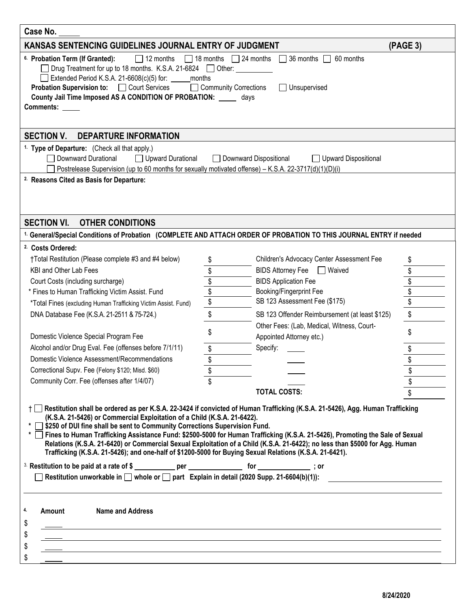| Case No.                                                                                                                                                                                                                                                                                                                                                                                                                                                                                                                                                                                                                                                                                                                                                                                                                                                                                                                                                 |                         |                                                |          |  |  |  |  |  |  |
|----------------------------------------------------------------------------------------------------------------------------------------------------------------------------------------------------------------------------------------------------------------------------------------------------------------------------------------------------------------------------------------------------------------------------------------------------------------------------------------------------------------------------------------------------------------------------------------------------------------------------------------------------------------------------------------------------------------------------------------------------------------------------------------------------------------------------------------------------------------------------------------------------------------------------------------------------------|-------------------------|------------------------------------------------|----------|--|--|--|--|--|--|
| KANSAS SENTENCING GUIDELINES JOURNAL ENTRY OF JUDGMENT                                                                                                                                                                                                                                                                                                                                                                                                                                                                                                                                                                                                                                                                                                                                                                                                                                                                                                   |                         |                                                | (PAGE 3) |  |  |  |  |  |  |
| $\Box$ 12 months<br>$\Box$ 18 months $\Box$ 24 months<br>$\Box$ 36 months $\Box$ 60 months<br><sup>6.</sup> Probation Term (If Granted):<br>Drug Treatment for up to 18 months. K.S.A. 21-6824 □ Other: ____<br>Extended Period K.S.A. 21-6608(c)(5) for:<br>months<br>Community Corrections<br><b>Probation Supervision to: COUT Services</b><br>$\Box$ Unsupervised<br>County Jail Time Imposed AS A CONDITION OF PROBATION: ______ days<br>Comments:                                                                                                                                                                                                                                                                                                                                                                                                                                                                                                  |                         |                                                |          |  |  |  |  |  |  |
| <b>SECTION V.</b><br><b>DEPARTURE INFORMATION</b>                                                                                                                                                                                                                                                                                                                                                                                                                                                                                                                                                                                                                                                                                                                                                                                                                                                                                                        |                         |                                                |          |  |  |  |  |  |  |
| <sup>1.</sup> Type of Departure: (Check all that apply.)<br>Downward Durational<br>Upward Durational<br>Postrelease Supervision (up to 60 months for sexually motivated offense) – K.S.A. 22-3717(d)(1)(D)(i)<br><sup>2.</sup> Reasons Cited as Basis for Departure:                                                                                                                                                                                                                                                                                                                                                                                                                                                                                                                                                                                                                                                                                     | Downward Dispositional  | Upward Dispositional                           |          |  |  |  |  |  |  |
| <b>SECTION VI.</b><br><b>OTHER CONDITIONS</b>                                                                                                                                                                                                                                                                                                                                                                                                                                                                                                                                                                                                                                                                                                                                                                                                                                                                                                            |                         |                                                |          |  |  |  |  |  |  |
| <sup>1.</sup> General/Special Conditions of Probation (COMPLETE AND ATTACH ORDER OF PROBATION TO THIS JOURNAL ENTRY if needed                                                                                                                                                                                                                                                                                                                                                                                                                                                                                                                                                                                                                                                                                                                                                                                                                            |                         |                                                |          |  |  |  |  |  |  |
| <sup>2.</sup> Costs Ordered:                                                                                                                                                                                                                                                                                                                                                                                                                                                                                                                                                                                                                                                                                                                                                                                                                                                                                                                             |                         |                                                |          |  |  |  |  |  |  |
| †Total Restitution (Please complete #3 and #4 below)                                                                                                                                                                                                                                                                                                                                                                                                                                                                                                                                                                                                                                                                                                                                                                                                                                                                                                     | \$                      | Children's Advocacy Center Assessment Fee      |          |  |  |  |  |  |  |
| KBI and Other Lab Fees                                                                                                                                                                                                                                                                                                                                                                                                                                                                                                                                                                                                                                                                                                                                                                                                                                                                                                                                   | \$                      | <b>BIDS Attorney Fee</b><br><b>Waived</b>      |          |  |  |  |  |  |  |
| Court Costs (including surcharge)                                                                                                                                                                                                                                                                                                                                                                                                                                                                                                                                                                                                                                                                                                                                                                                                                                                                                                                        |                         | <b>BIDS Application Fee</b>                    | \$       |  |  |  |  |  |  |
| * Fines to Human Trafficking Victim Assist. Fund                                                                                                                                                                                                                                                                                                                                                                                                                                                                                                                                                                                                                                                                                                                                                                                                                                                                                                         | $\frac{6}{3}$           | Booking/Fingerprint Fee                        | \$       |  |  |  |  |  |  |
| *Total Fines (excluding Human Trafficking Victim Assist. Fund)                                                                                                                                                                                                                                                                                                                                                                                                                                                                                                                                                                                                                                                                                                                                                                                                                                                                                           | $\sqrt[6]{\frac{1}{2}}$ | SB 123 Assessment Fee (\$175)                  | \$       |  |  |  |  |  |  |
| DNA Database Fee (K.S.A. 21-2511 & 75-724.)                                                                                                                                                                                                                                                                                                                                                                                                                                                                                                                                                                                                                                                                                                                                                                                                                                                                                                              | \$                      | SB 123 Offender Reimbursement (at least \$125) | \$       |  |  |  |  |  |  |
|                                                                                                                                                                                                                                                                                                                                                                                                                                                                                                                                                                                                                                                                                                                                                                                                                                                                                                                                                          |                         | Other Fees: (Lab, Medical, Witness, Court-     |          |  |  |  |  |  |  |
| Domestic Violence Special Program Fee                                                                                                                                                                                                                                                                                                                                                                                                                                                                                                                                                                                                                                                                                                                                                                                                                                                                                                                    | \$                      | Appointed Attorney etc.)                       | \$       |  |  |  |  |  |  |
| Alcohol and/or Drug Eval. Fee (offenses before 7/1/11)                                                                                                                                                                                                                                                                                                                                                                                                                                                                                                                                                                                                                                                                                                                                                                                                                                                                                                   | \$                      | Specify:                                       | \$       |  |  |  |  |  |  |
| Domestic Violence Assessment/Recommendations                                                                                                                                                                                                                                                                                                                                                                                                                                                                                                                                                                                                                                                                                                                                                                                                                                                                                                             | \$                      |                                                | \$       |  |  |  |  |  |  |
| Correctional Supv. Fee (Felony \$120; Misd. \$60)                                                                                                                                                                                                                                                                                                                                                                                                                                                                                                                                                                                                                                                                                                                                                                                                                                                                                                        | ¢                       |                                                |          |  |  |  |  |  |  |
| Community Corr. Fee (offenses after 1/4/07)                                                                                                                                                                                                                                                                                                                                                                                                                                                                                                                                                                                                                                                                                                                                                                                                                                                                                                              |                         |                                                |          |  |  |  |  |  |  |
|                                                                                                                                                                                                                                                                                                                                                                                                                                                                                                                                                                                                                                                                                                                                                                                                                                                                                                                                                          |                         | <b>TOTAL COSTS:</b>                            |          |  |  |  |  |  |  |
| ↑ $□$ Restitution shall be ordered as per K.S.A. 22-3424 if convicted of Human Trafficking (K.S.A. 21-5426), Agg. Human Trafficking<br>(K.S.A. 21-5426) or Commercial Exploitation of a Child (K.S.A. 21-6422).<br>S250 of DUI fine shall be sent to Community Corrections Supervision Fund.<br>Fines to Human Trafficking Assistance Fund: \$2500-5000 for Human Trafficking (K.S.A. 21-5426), Promoting the Sale of Sexual<br>Relations (K.S.A. 21-6420) or Commercial Sexual Exploitation of a Child (K.S.A. 21-6422); no less than \$5000 for Agg. Human<br>Trafficking (K.S.A. 21-5426); and one-half of \$1200-5000 for Buying Sexual Relations (K.S.A. 21-6421).<br><sup>3.</sup> Restitution to be paid at a rate of \$ ____________ per _________________ for _______________; or<br>Restitution unworkable in $\square$ whole or $\square$ part Explain in detail (2020 Supp. 21-6604(b)(1)):<br>4.<br>Amount<br><b>Name and Address</b><br>\$ |                         |                                                |          |  |  |  |  |  |  |
| \$                                                                                                                                                                                                                                                                                                                                                                                                                                                                                                                                                                                                                                                                                                                                                                                                                                                                                                                                                       |                         |                                                |          |  |  |  |  |  |  |
| ,我们也不会有什么。""我们的人,我们也不会有什么?""我们的人,我们也不会有什么?""我们的人,我们也不会有什么?""我们的人,我们也不会有什么?""我们的人<br>\$                                                                                                                                                                                                                                                                                                                                                                                                                                                                                                                                                                                                                                                                                                                                                                                                                                                                   |                         |                                                |          |  |  |  |  |  |  |
| ,我们也不会有什么。""我们的人,我们也不会有什么?""我们的人,我们也不会有什么?""我们的人,我们也不会有什么?""我们的人,我们也不会有什么?""我们的人<br>\$                                                                                                                                                                                                                                                                                                                                                                                                                                                                                                                                                                                                                                                                                                                                                                                                                                                                   |                         |                                                |          |  |  |  |  |  |  |
|                                                                                                                                                                                                                                                                                                                                                                                                                                                                                                                                                                                                                                                                                                                                                                                                                                                                                                                                                          |                         |                                                |          |  |  |  |  |  |  |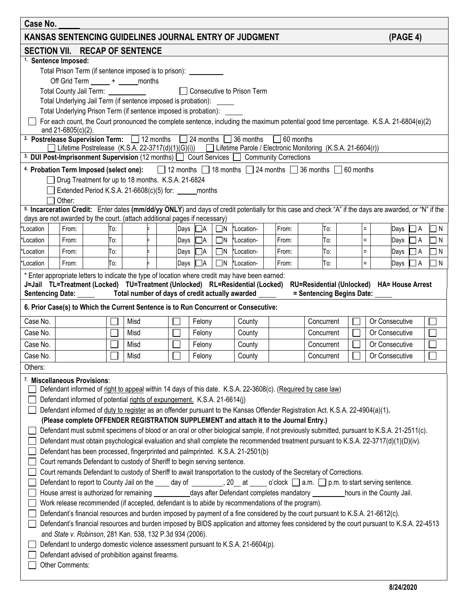| Case No.                                                                                                                                                                                                                                                                                            |                 |                    |                                                                          |  |            |      |  |  |      |                          |                      |                                                                                                                                                                                 |                |                                                                                                                                                        |            |  |                |                |            |                 |
|-----------------------------------------------------------------------------------------------------------------------------------------------------------------------------------------------------------------------------------------------------------------------------------------------------|-----------------|--------------------|--------------------------------------------------------------------------|--|------------|------|--|--|------|--------------------------|----------------------|---------------------------------------------------------------------------------------------------------------------------------------------------------------------------------|----------------|--------------------------------------------------------------------------------------------------------------------------------------------------------|------------|--|----------------|----------------|------------|-----------------|
|                                                                                                                                                                                                                                                                                                     |                 |                    |                                                                          |  |            |      |  |  |      |                          |                      | KANSAS SENTENCING GUIDELINES JOURNAL ENTRY OF JUDGMENT                                                                                                                          |                |                                                                                                                                                        |            |  |                | (PAGE 4)       |            |                 |
| <b>SECTION VII. RECAP OF SENTENCE</b>                                                                                                                                                                                                                                                               |                 |                    |                                                                          |  |            |      |  |  |      |                          |                      |                                                                                                                                                                                 |                |                                                                                                                                                        |            |  |                |                |            |                 |
| <sup>1.</sup> Sentence Imposed:                                                                                                                                                                                                                                                                     |                 |                    |                                                                          |  |            |      |  |  |      |                          |                      |                                                                                                                                                                                 |                |                                                                                                                                                        |            |  |                |                |            |                 |
|                                                                                                                                                                                                                                                                                                     |                 |                    | Total Prison Term (if sentence imposed is to prison): __________         |  |            |      |  |  |      |                          |                      |                                                                                                                                                                                 |                |                                                                                                                                                        |            |  |                |                |            |                 |
|                                                                                                                                                                                                                                                                                                     |                 |                    | Off Grid Term _____ + _____ months                                       |  |            |      |  |  |      |                          |                      |                                                                                                                                                                                 |                |                                                                                                                                                        |            |  |                |                |            |                 |
|                                                                                                                                                                                                                                                                                                     |                 |                    | Total County Jail Term: ____________                                     |  |            |      |  |  |      |                          |                      | □ Consecutive to Prison Term                                                                                                                                                    |                |                                                                                                                                                        |            |  |                |                |            |                 |
|                                                                                                                                                                                                                                                                                                     |                 |                    | Total Underlying Jail Term (if sentence imposed is probation):           |  |            |      |  |  |      |                          |                      |                                                                                                                                                                                 |                |                                                                                                                                                        |            |  |                |                |            |                 |
|                                                                                                                                                                                                                                                                                                     |                 |                    | Total Underlying Prison Term (if sentence imposed is probation): _____   |  |            |      |  |  |      |                          |                      |                                                                                                                                                                                 |                | For each count, the Court pronounced the complete sentence, including the maximum potential good time percentage. K.S.A. 21-6804(e)(2)                 |            |  |                |                |            |                 |
|                                                                                                                                                                                                                                                                                                     |                 | and 21-6805(c)(2). |                                                                          |  |            |      |  |  |      |                          |                      |                                                                                                                                                                                 |                |                                                                                                                                                        |            |  |                |                |            |                 |
| <sup>2.</sup> Postrelease Supervision Term: 12 months 24 months 36 months 6 60 months<br>Lifetime Postrelease (K.S.A. 22-3717(d)(1)(G)(i)) Lifetime Parole / Electronic Monitoring (K.S.A. 21-6604(r))<br>3. DUI Post-Imprisonment Supervision (12 months) C Court Services C Community Corrections |                 |                    |                                                                          |  |            |      |  |  |      |                          |                      |                                                                                                                                                                                 |                |                                                                                                                                                        |            |  |                |                |            |                 |
|                                                                                                                                                                                                                                                                                                     |                 |                    |                                                                          |  |            |      |  |  |      |                          |                      |                                                                                                                                                                                 |                | 4. Probation Term Imposed (select one): 212 months 18 months 24 months 36 months 60 months                                                             |            |  |                |                |            |                 |
|                                                                                                                                                                                                                                                                                                     |                 |                    | □ Drug Treatment for up to 18 months. K.S.A. 21-6824                     |  |            |      |  |  |      |                          |                      |                                                                                                                                                                                 |                |                                                                                                                                                        |            |  |                |                |            |                 |
|                                                                                                                                                                                                                                                                                                     |                 |                    | Extended Period K.S.A. 21-6608(c)(5) for: _______ months                 |  |            |      |  |  |      |                          |                      |                                                                                                                                                                                 |                |                                                                                                                                                        |            |  |                |                |            |                 |
|                                                                                                                                                                                                                                                                                                     |                 | Other:             |                                                                          |  |            |      |  |  |      |                          |                      |                                                                                                                                                                                 |                |                                                                                                                                                        |            |  |                |                |            |                 |
|                                                                                                                                                                                                                                                                                                     |                 |                    |                                                                          |  |            |      |  |  |      |                          |                      |                                                                                                                                                                                 |                | 5. Incarceration Credit: Enter dates (mm/dd/yy ONLY) and days of credit potentially for this case and check "A" if the days are awarded, or "N" if the |            |  |                |                |            |                 |
| days are not awarded by the court. (attach additional pages if necessary)<br>*Location                                                                                                                                                                                                              |                 | From:              |                                                                          |  | To:        |      |  |  |      | I⊟A                      |                      | *Location-                                                                                                                                                                      | From:          | To:                                                                                                                                                    |            |  | $\equiv$       |                | $\sqcap$ A | $\Box$ N        |
|                                                                                                                                                                                                                                                                                                     |                 |                    |                                                                          |  |            |      |  |  | Days |                          | $\square$ N          |                                                                                                                                                                                 |                |                                                                                                                                                        |            |  | $\equiv$       | Days           |            |                 |
| *Location                                                                                                                                                                                                                                                                                           |                 | From:              |                                                                          |  | To:        |      |  |  |      | Days $\Box$ A            | $\Box N$             | *Location-                                                                                                                                                                      | From:          | To:<br>To:                                                                                                                                             |            |  | $\equiv$       | Days           | ΠA<br>l A  | ΠN              |
| *Location<br>*Location                                                                                                                                                                                                                                                                              |                 | From:<br>From:     |                                                                          |  | To:<br>To: |      |  |  | Days | Days □A<br>$\sqsupset$ A | $\Box$ N<br>$\Box$ N | *Location-<br>*Location-                                                                                                                                                        | From:<br>From: | To:                                                                                                                                                    |            |  | $\equiv$       | Days           | A          | $\Box$ N<br>∩ N |
|                                                                                                                                                                                                                                                                                                     |                 |                    |                                                                          |  |            |      |  |  |      |                          |                      |                                                                                                                                                                                 |                |                                                                                                                                                        |            |  |                | Days           |            |                 |
|                                                                                                                                                                                                                                                                                                     |                 |                    |                                                                          |  |            |      |  |  |      |                          |                      | * Enter appropriate letters to indicate the type of location where credit may have been earned:<br>J=Jail TL=Treatment (Locked) TU=Treatment (Unlocked) RL=Residential (Locked) |                | RU=Residential (Unlocked) HA= House Arrest                                                                                                             |            |  |                |                |            |                 |
|                                                                                                                                                                                                                                                                                                     |                 |                    |                                                                          |  |            |      |  |  |      |                          |                      | Sentencing Date: Total number of days of credit actually awarded                                                                                                                |                | = Sentencing Begins Date: __                                                                                                                           |            |  |                |                |            |                 |
|                                                                                                                                                                                                                                                                                                     |                 |                    |                                                                          |  |            |      |  |  |      |                          |                      | 6. Prior Case(s) to Which the Current Sentence is to Run Concurrent or Consecutive:                                                                                             |                |                                                                                                                                                        |            |  |                |                |            |                 |
| Case No.                                                                                                                                                                                                                                                                                            |                 |                    |                                                                          |  |            | Misd |  |  |      | Felony                   |                      | County                                                                                                                                                                          |                | Concurrent                                                                                                                                             |            |  | Or Consecutive |                |            |                 |
| Case No.                                                                                                                                                                                                                                                                                            |                 |                    |                                                                          |  |            | Misd |  |  |      | Felony                   |                      | County                                                                                                                                                                          |                | Concurrent                                                                                                                                             |            |  | Or Consecutive |                |            |                 |
| Case No.                                                                                                                                                                                                                                                                                            |                 |                    |                                                                          |  |            | Misd |  |  |      | Felony                   |                      | County                                                                                                                                                                          |                |                                                                                                                                                        | Concurrent |  |                | Or Consecutive |            |                 |
| Case No.                                                                                                                                                                                                                                                                                            |                 |                    |                                                                          |  |            | Misd |  |  |      | Felony                   |                      | County                                                                                                                                                                          |                | Concurrent                                                                                                                                             |            |  | Or Consecutive |                |            |                 |
| Others:                                                                                                                                                                                                                                                                                             |                 |                    |                                                                          |  |            |      |  |  |      |                          |                      |                                                                                                                                                                                 |                |                                                                                                                                                        |            |  |                |                |            |                 |
| <sup>7.</sup> Miscellaneous Provisions:                                                                                                                                                                                                                                                             |                 |                    |                                                                          |  |            |      |  |  |      |                          |                      |                                                                                                                                                                                 |                |                                                                                                                                                        |            |  |                |                |            |                 |
|                                                                                                                                                                                                                                                                                                     |                 |                    |                                                                          |  |            |      |  |  |      |                          |                      |                                                                                                                                                                                 |                | Defendant informed of right to appeal within 14 days of this date. K.S.A. 22-3608(c). (Required by case law)                                           |            |  |                |                |            |                 |
|                                                                                                                                                                                                                                                                                                     |                 |                    | Defendant informed of potential rights of expungement. K.S.A. 21-6614(j) |  |            |      |  |  |      |                          |                      |                                                                                                                                                                                 |                |                                                                                                                                                        |            |  |                |                |            |                 |
|                                                                                                                                                                                                                                                                                                     |                 |                    |                                                                          |  |            |      |  |  |      |                          |                      |                                                                                                                                                                                 |                |                                                                                                                                                        |            |  |                |                |            |                 |
| Defendant informed of duty to register as an offender pursuant to the Kansas Offender Registration Act. K.S.A. 22-4904(a)(1).<br>(Please complete OFFENDER REGISTRATION SUPPLEMENT and attach it to the Journal Entry.)                                                                             |                 |                    |                                                                          |  |            |      |  |  |      |                          |                      |                                                                                                                                                                                 |                |                                                                                                                                                        |            |  |                |                |            |                 |
| Defendant must submit specimens of blood or an oral or other biological sample, if not previously submitted, pursuant to K.S.A. 21-2511(c).                                                                                                                                                         |                 |                    |                                                                          |  |            |      |  |  |      |                          |                      |                                                                                                                                                                                 |                |                                                                                                                                                        |            |  |                |                |            |                 |
| Defendant must obtain psychological evaluation and shall complete the recommended treatment pursuant to K.S.A. 22-3717(d)(1)(D)(iv).                                                                                                                                                                |                 |                    |                                                                          |  |            |      |  |  |      |                          |                      |                                                                                                                                                                                 |                |                                                                                                                                                        |            |  |                |                |            |                 |
| Defendant has been processed, fingerprinted and palmprinted. K.S.A. 21-2501(b)                                                                                                                                                                                                                      |                 |                    |                                                                          |  |            |      |  |  |      |                          |                      |                                                                                                                                                                                 |                |                                                                                                                                                        |            |  |                |                |            |                 |
| Court remands Defendant to custody of Sheriff to begin serving sentence.                                                                                                                                                                                                                            |                 |                    |                                                                          |  |            |      |  |  |      |                          |                      |                                                                                                                                                                                 |                |                                                                                                                                                        |            |  |                |                |            |                 |
| Court remands Defendant to custody of Sheriff to await transportation to the custody of the Secretary of Corrections.                                                                                                                                                                               |                 |                    |                                                                          |  |            |      |  |  |      |                          |                      |                                                                                                                                                                                 |                |                                                                                                                                                        |            |  |                |                |            |                 |
| Defendant to report to County Jail on the ____ day of _________, 20__ at _____ o'clock __] a.m. __] p.m. to start serving sentence.                                                                                                                                                                 |                 |                    |                                                                          |  |            |      |  |  |      |                          |                      |                                                                                                                                                                                 |                |                                                                                                                                                        |            |  |                |                |            |                 |
| House arrest is authorized for remaining ___________ days after Defendant completes mandatory __________ hours in the County Jail.                                                                                                                                                                  |                 |                    |                                                                          |  |            |      |  |  |      |                          |                      |                                                                                                                                                                                 |                |                                                                                                                                                        |            |  |                |                |            |                 |
| Work release recommended (if accepted, defendant is to abide by recommendations of the program).<br>Defendant's financial resources and burden imposed by payment of a fine considered by the court pursuant to K.S.A. 21-6612(c).                                                                  |                 |                    |                                                                          |  |            |      |  |  |      |                          |                      |                                                                                                                                                                                 |                |                                                                                                                                                        |            |  |                |                |            |                 |
| Defendant's financial resources and burden imposed by BIDS application and attorney fees considered by the court pursuant to K.S.A. 22-4513                                                                                                                                                         |                 |                    |                                                                          |  |            |      |  |  |      |                          |                      |                                                                                                                                                                                 |                |                                                                                                                                                        |            |  |                |                |            |                 |
| and State v. Robinson, 281 Kan. 538, 132 P.3d 934 (2006).                                                                                                                                                                                                                                           |                 |                    |                                                                          |  |            |      |  |  |      |                          |                      |                                                                                                                                                                                 |                |                                                                                                                                                        |            |  |                |                |            |                 |
| Defendant to undergo domestic violence assessment pursuant to K.S.A. 21-6604(p).                                                                                                                                                                                                                    |                 |                    |                                                                          |  |            |      |  |  |      |                          |                      |                                                                                                                                                                                 |                |                                                                                                                                                        |            |  |                |                |            |                 |
|                                                                                                                                                                                                                                                                                                     |                 |                    | Defendant advised of prohibition against firearms.                       |  |            |      |  |  |      |                          |                      |                                                                                                                                                                                 |                |                                                                                                                                                        |            |  |                |                |            |                 |
|                                                                                                                                                                                                                                                                                                     | Other Comments: |                    |                                                                          |  |            |      |  |  |      |                          |                      |                                                                                                                                                                                 |                |                                                                                                                                                        |            |  |                |                |            |                 |
|                                                                                                                                                                                                                                                                                                     |                 |                    |                                                                          |  |            |      |  |  |      |                          |                      |                                                                                                                                                                                 |                |                                                                                                                                                        |            |  |                |                |            |                 |